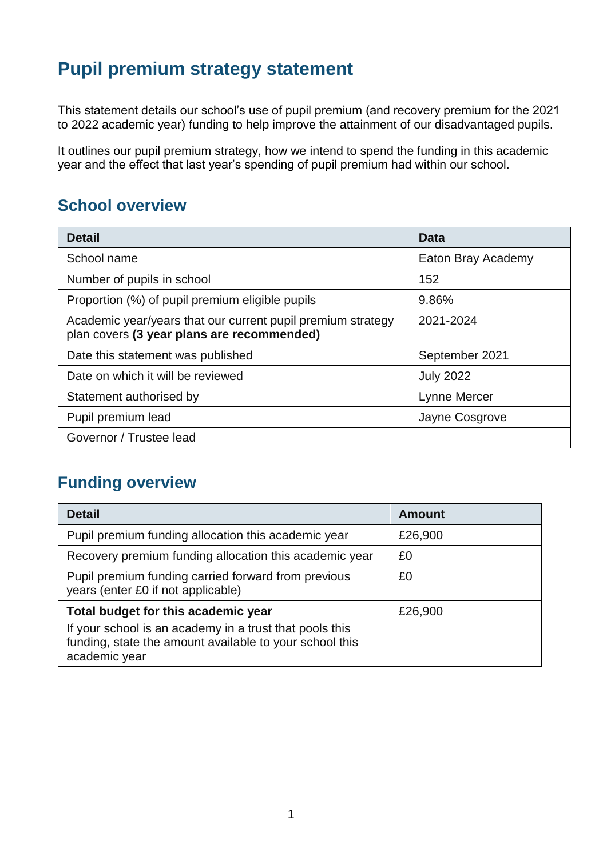# **Pupil premium strategy statement**

This statement details our school's use of pupil premium (and recovery premium for the 2021 to 2022 academic year) funding to help improve the attainment of our disadvantaged pupils.

It outlines our pupil premium strategy, how we intend to spend the funding in this academic year and the effect that last year's spending of pupil premium had within our school.

## **School overview**

| <b>Detail</b>                                                                                             | Data               |
|-----------------------------------------------------------------------------------------------------------|--------------------|
| School name                                                                                               | Eaton Bray Academy |
| Number of pupils in school                                                                                | 152                |
| Proportion (%) of pupil premium eligible pupils                                                           | 9.86%              |
| Academic year/years that our current pupil premium strategy<br>plan covers (3 year plans are recommended) | 2021-2024          |
| Date this statement was published                                                                         | September 2021     |
| Date on which it will be reviewed                                                                         | <b>July 2022</b>   |
| Statement authorised by                                                                                   | Lynne Mercer       |
| Pupil premium lead                                                                                        | Jayne Cosgrove     |
| Governor / Trustee lead                                                                                   |                    |

## **Funding overview**

| <b>Detail</b>                                                                                                                       | Amount  |
|-------------------------------------------------------------------------------------------------------------------------------------|---------|
| Pupil premium funding allocation this academic year                                                                                 | £26,900 |
| Recovery premium funding allocation this academic year                                                                              | £0      |
| Pupil premium funding carried forward from previous<br>years (enter £0 if not applicable)                                           | £0      |
| Total budget for this academic year                                                                                                 | £26,900 |
| If your school is an academy in a trust that pools this<br>funding, state the amount available to your school this<br>academic year |         |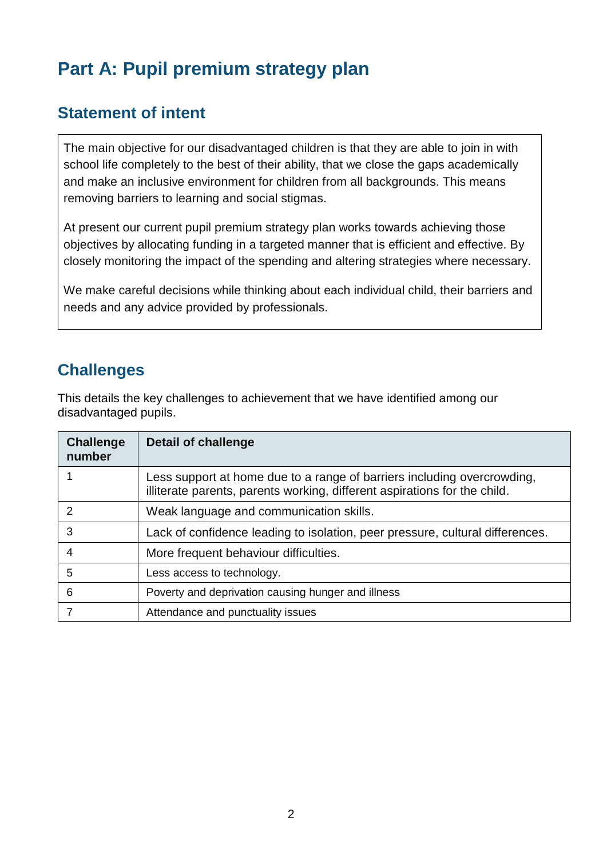# **Part A: Pupil premium strategy plan**

## **Statement of intent**

The main objective for our disadvantaged children is that they are able to join in with school life completely to the best of their ability, that we close the gaps academically and make an inclusive environment for children from all backgrounds. This means removing barriers to learning and social stigmas.

At present our current pupil premium strategy plan works towards achieving those objectives by allocating funding in a targeted manner that is efficient and effective. By closely monitoring the impact of the spending and altering strategies where necessary.

We make careful decisions while thinking about each individual child, their barriers and needs and any advice provided by professionals.

## **Challenges**

This details the key challenges to achievement that we have identified among our disadvantaged pupils.

| <b>Challenge</b><br>number | Detail of challenge                                                                                                                                  |
|----------------------------|------------------------------------------------------------------------------------------------------------------------------------------------------|
|                            | Less support at home due to a range of barriers including overcrowding,<br>illiterate parents, parents working, different aspirations for the child. |
| $\mathcal{P}$              | Weak language and communication skills.                                                                                                              |
| 3                          | Lack of confidence leading to isolation, peer pressure, cultural differences.                                                                        |
| 4                          | More frequent behaviour difficulties.                                                                                                                |
| 5                          | Less access to technology.                                                                                                                           |
| 6                          | Poverty and deprivation causing hunger and illness                                                                                                   |
|                            | Attendance and punctuality issues                                                                                                                    |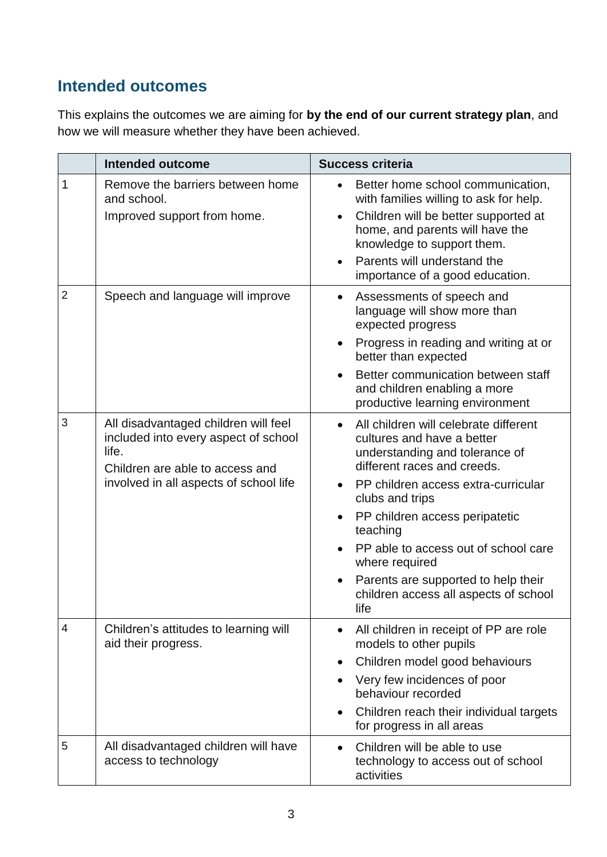## **Intended outcomes**

This explains the outcomes we are aiming for **by the end of our current strategy plan**, and how we will measure whether they have been achieved.

|                | <b>Intended outcome</b>                                                                                                                                            | <b>Success criteria</b>                                                                                                                                                                                                                                                                                                                                                                                                  |
|----------------|--------------------------------------------------------------------------------------------------------------------------------------------------------------------|--------------------------------------------------------------------------------------------------------------------------------------------------------------------------------------------------------------------------------------------------------------------------------------------------------------------------------------------------------------------------------------------------------------------------|
| 1              | Remove the barriers between home<br>and school.<br>Improved support from home.                                                                                     | Better home school communication,<br>with families willing to ask for help.<br>Children will be better supported at<br>$\bullet$<br>home, and parents will have the<br>knowledge to support them.<br>Parents will understand the<br>importance of a good education.                                                                                                                                                      |
| $\overline{2}$ | Speech and language will improve                                                                                                                                   | Assessments of speech and<br>language will show more than<br>expected progress<br>Progress in reading and writing at or<br>better than expected<br>Better communication between staff<br>and children enabling a more<br>productive learning environment                                                                                                                                                                 |
| 3              | All disadvantaged children will feel<br>included into every aspect of school<br>life.<br>Children are able to access and<br>involved in all aspects of school life | All children will celebrate different<br>cultures and have a better<br>understanding and tolerance of<br>different races and creeds.<br>PP children access extra-curricular<br>$\bullet$<br>clubs and trips<br>PP children access peripatetic<br>$\bullet$<br>teaching<br>PP able to access out of school care<br>where required<br>Parents are supported to help their<br>children access all aspects of school<br>life |
| 4              | Children's attitudes to learning will<br>aid their progress.                                                                                                       | All children in receipt of PP are role<br>models to other pupils<br>Children model good behaviours<br>$\bullet$<br>Very few incidences of poor<br>behaviour recorded<br>Children reach their individual targets<br>for progress in all areas                                                                                                                                                                             |
| 5              | All disadvantaged children will have<br>access to technology                                                                                                       | Children will be able to use<br>$\bullet$<br>technology to access out of school<br>activities                                                                                                                                                                                                                                                                                                                            |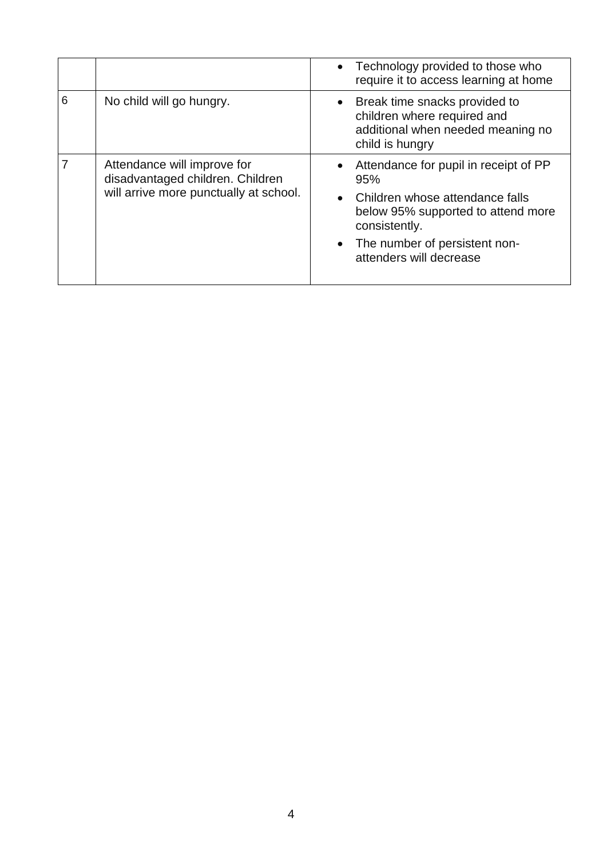|   |                                                                                                           | • Technology provided to those who<br>require it to access learning at home                                                                                                                            |
|---|-----------------------------------------------------------------------------------------------------------|--------------------------------------------------------------------------------------------------------------------------------------------------------------------------------------------------------|
| 6 | No child will go hungry.                                                                                  | • Break time snacks provided to<br>children where required and<br>additional when needed meaning no<br>child is hungry                                                                                 |
|   | Attendance will improve for<br>disadvantaged children. Children<br>will arrive more punctually at school. | Attendance for pupil in receipt of PP<br>95%<br>• Children whose attendance falls<br>below 95% supported to attend more<br>consistently.<br>• The number of persistent non-<br>attenders will decrease |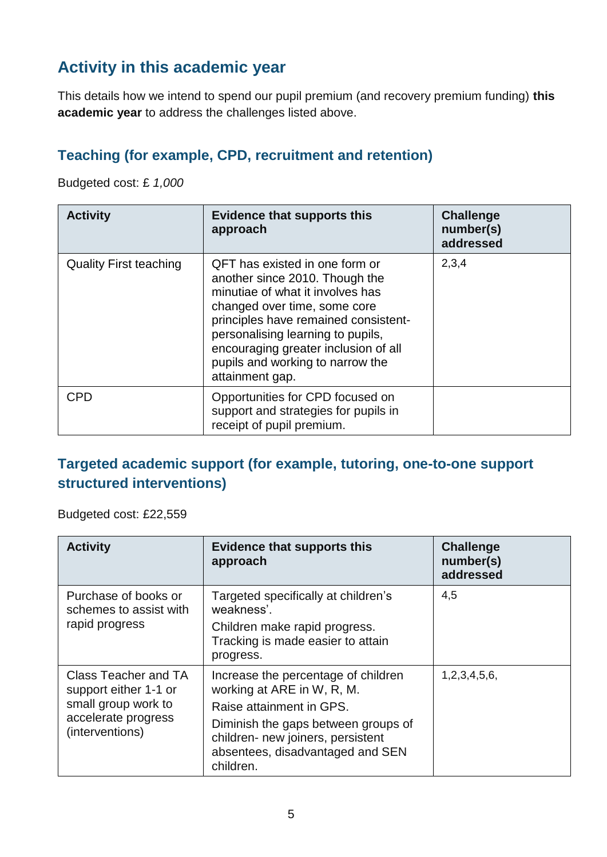## **Activity in this academic year**

This details how we intend to spend our pupil premium (and recovery premium funding) **this academic year** to address the challenges listed above.

#### **Teaching (for example, CPD, recruitment and retention)**

Budgeted cost: £ *1,000*

| <b>Activity</b>               | <b>Evidence that supports this</b><br>approach                                                                                                                                                                                                                                                                   | <b>Challenge</b><br>number(s)<br>addressed |
|-------------------------------|------------------------------------------------------------------------------------------------------------------------------------------------------------------------------------------------------------------------------------------------------------------------------------------------------------------|--------------------------------------------|
| <b>Quality First teaching</b> | QFT has existed in one form or<br>another since 2010. Though the<br>minutiae of what it involves has<br>changed over time, some core<br>principles have remained consistent-<br>personalising learning to pupils,<br>encouraging greater inclusion of all<br>pupils and working to narrow the<br>attainment gap. | 2,3,4                                      |
| <b>CPD</b>                    | Opportunities for CPD focused on<br>support and strategies for pupils in<br>receipt of pupil premium.                                                                                                                                                                                                            |                                            |

#### **Targeted academic support (for example, tutoring, one-to-one support structured interventions)**

Budgeted cost: £22,559

| <b>Activity</b>                                                                                                | <b>Evidence that supports this</b><br>approach                                                                                                                                                                             | <b>Challenge</b><br>number(s)<br>addressed |
|----------------------------------------------------------------------------------------------------------------|----------------------------------------------------------------------------------------------------------------------------------------------------------------------------------------------------------------------------|--------------------------------------------|
| Purchase of books or<br>schemes to assist with<br>rapid progress                                               | Targeted specifically at children's<br>weakness'.<br>Children make rapid progress.<br>Tracking is made easier to attain<br>progress.                                                                                       | 4,5                                        |
| Class Teacher and TA<br>support either 1-1 or<br>small group work to<br>accelerate progress<br>(interventions) | Increase the percentage of children<br>working at ARE in W, R, M.<br>Raise attainment in GPS.<br>Diminish the gaps between groups of<br>children- new joiners, persistent<br>absentees, disadvantaged and SEN<br>children. | 1,2,3,4,5,6,                               |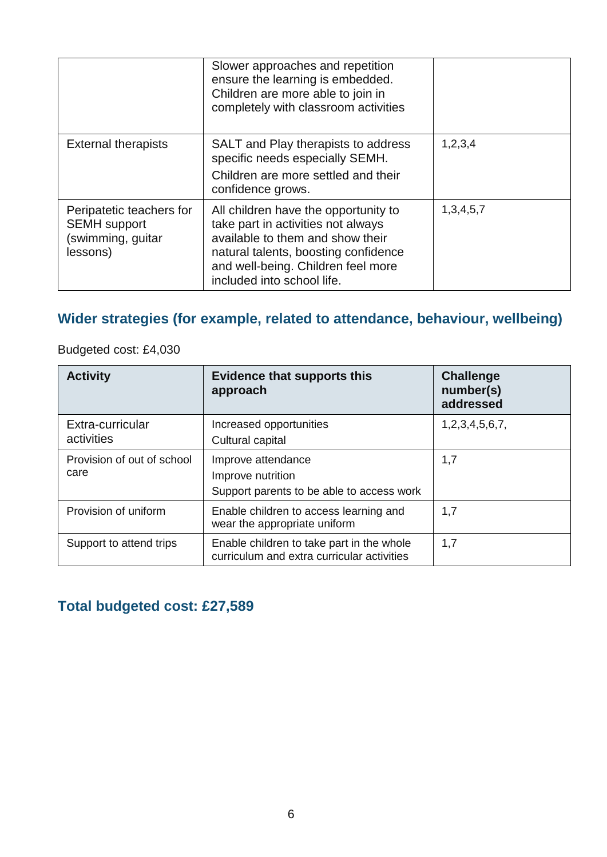|                                                                                  | Slower approaches and repetition<br>ensure the learning is embedded.<br>Children are more able to join in<br>completely with classroom activities                                                                          |               |
|----------------------------------------------------------------------------------|----------------------------------------------------------------------------------------------------------------------------------------------------------------------------------------------------------------------------|---------------|
| <b>External therapists</b>                                                       | SALT and Play therapists to address<br>specific needs especially SEMH.<br>Children are more settled and their<br>confidence grows.                                                                                         | 1,2,3,4       |
| Peripatetic teachers for<br><b>SEMH</b> support<br>(swimming, guitar<br>lessons) | All children have the opportunity to<br>take part in activities not always<br>available to them and show their<br>natural talents, boosting confidence<br>and well-being. Children feel more<br>included into school life. | 1, 3, 4, 5, 7 |

### **Wider strategies (for example, related to attendance, behaviour, wellbeing)**

Budgeted cost: £4,030

| <b>Activity</b>                    | <b>Evidence that supports this</b><br>approach                                          | <b>Challenge</b><br>number(s)<br>addressed |
|------------------------------------|-----------------------------------------------------------------------------------------|--------------------------------------------|
| Extra-curricular<br>activities     | Increased opportunities<br>Cultural capital                                             | 1,2,3,4,5,6,7,                             |
| Provision of out of school<br>care | Improve attendance<br>Improve nutrition<br>Support parents to be able to access work    | 1,7                                        |
| Provision of uniform               | Enable children to access learning and<br>wear the appropriate uniform                  | 1,7                                        |
| Support to attend trips            | Enable children to take part in the whole<br>curriculum and extra curricular activities | 1,7                                        |

## **Total budgeted cost: £27,589**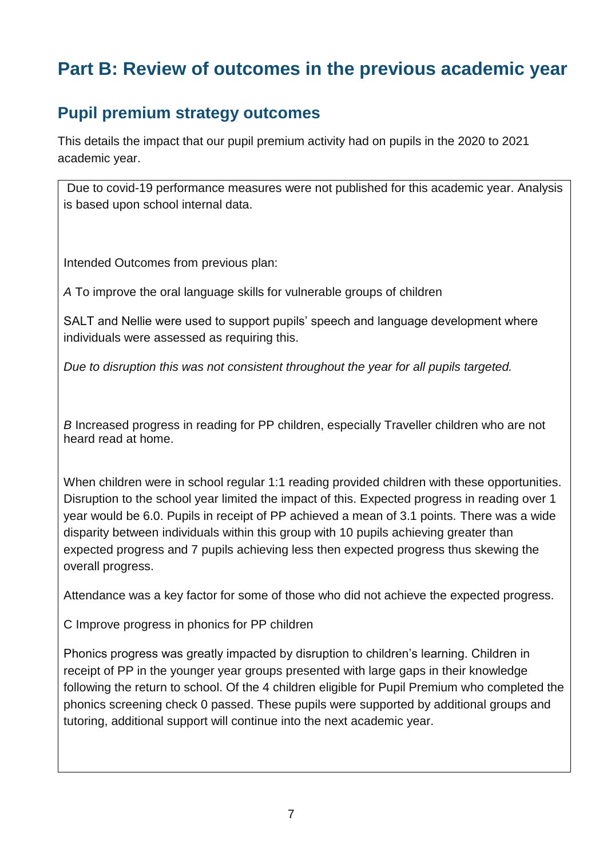# **Part B: Review of outcomes in the previous academic year**

## **Pupil premium strategy outcomes**

This details the impact that our pupil premium activity had on pupils in the 2020 to 2021 academic year.

Due to covid-19 performance measures were not published for this academic year. Analysis is based upon school internal data.

Intended Outcomes from previous plan:

*A* To improve the oral language skills for vulnerable groups of children

SALT and Nellie were used to support pupils' speech and language development where individuals were assessed as requiring this.

*Due to disruption this was not consistent throughout the year for all pupils targeted.*

*B* Increased progress in reading for PP children, especially Traveller children who are not heard read at home.

When children were in school regular 1:1 reading provided children with these opportunities. Disruption to the school year limited the impact of this. Expected progress in reading over 1 year would be 6.0. Pupils in receipt of PP achieved a mean of 3.1 points. There was a wide disparity between individuals within this group with 10 pupils achieving greater than expected progress and 7 pupils achieving less then expected progress thus skewing the overall progress.

Attendance was a key factor for some of those who did not achieve the expected progress.

C Improve progress in phonics for PP children

Phonics progress was greatly impacted by disruption to children's learning. Children in receipt of PP in the younger year groups presented with large gaps in their knowledge following the return to school. Of the 4 children eligible for Pupil Premium who completed the phonics screening check 0 passed. These pupils were supported by additional groups and tutoring, additional support will continue into the next academic year.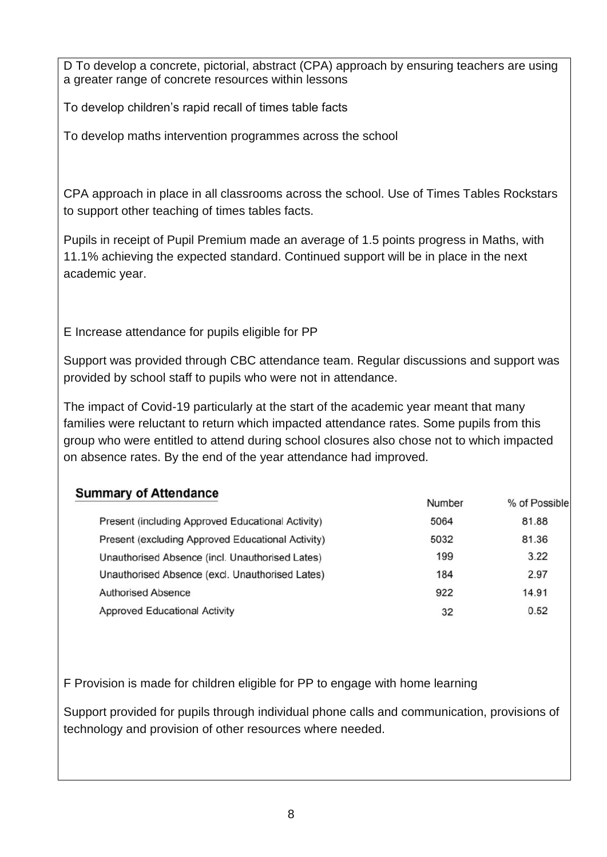D To develop a concrete, pictorial, abstract (CPA) approach by ensuring teachers are using a greater range of concrete resources within lessons

To develop children's rapid recall of times table facts

To develop maths intervention programmes across the school

CPA approach in place in all classrooms across the school. Use of Times Tables Rockstars to support other teaching of times tables facts.

Pupils in receipt of Pupil Premium made an average of 1.5 points progress in Maths, with 11.1% achieving the expected standard. Continued support will be in place in the next academic year.

E Increase attendance for pupils eligible for PP

Support was provided through CBC attendance team. Regular discussions and support was provided by school staff to pupils who were not in attendance.

The impact of Covid-19 particularly at the start of the academic year meant that many families were reluctant to return which impacted attendance rates. Some pupils from this group who were entitled to attend during school closures also chose not to which impacted on absence rates. By the end of the year attendance had improved.

| <b>Summary of Attendance</b>                      |        |               |
|---------------------------------------------------|--------|---------------|
|                                                   | Number | % of Possible |
| Present (including Approved Educational Activity) | 5064   | 81.88         |
| Present (excluding Approved Educational Activity) | 5032   | 81.36         |
| Unauthorised Absence (incl. Unauthorised Lates)   | 199    | 3.22          |
| Unauthorised Absence (excl. Unauthorised Lates)   | 184    | 2.97          |
| <b>Authorised Absence</b>                         | 922    | 14.91         |
| <b>Approved Educational Activity</b>              | 32     | 0.52          |

F Provision is made for children eligible for PP to engage with home learning

Support provided for pupils through individual phone calls and communication, provisions of technology and provision of other resources where needed.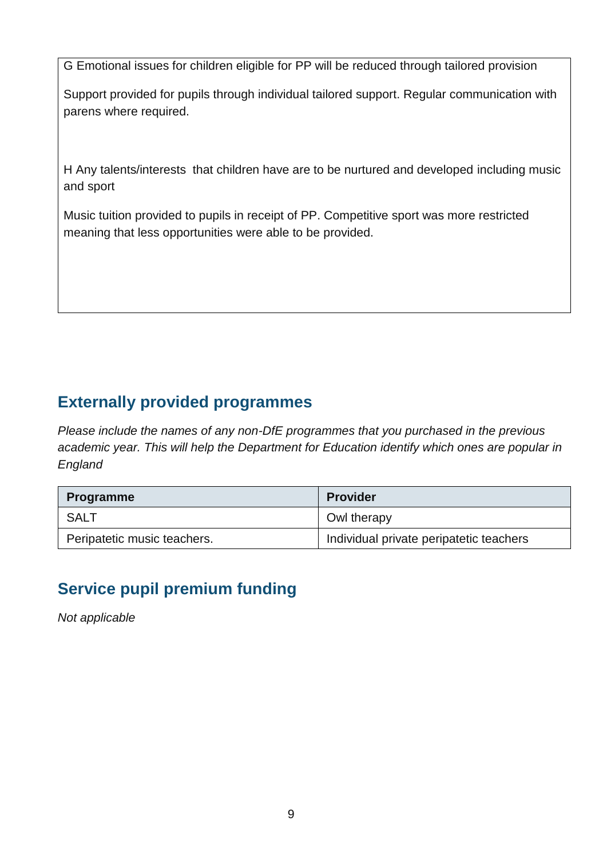G Emotional issues for children eligible for PP will be reduced through tailored provision

Support provided for pupils through individual tailored support. Regular communication with parens where required.

H Any talents/interests that children have are to be nurtured and developed including music and sport

Music tuition provided to pupils in receipt of PP. Competitive sport was more restricted meaning that less opportunities were able to be provided.

## **Externally provided programmes**

*Please include the names of any non-DfE programmes that you purchased in the previous academic year. This will help the Department for Education identify which ones are popular in England*

| <b>Programme</b>            | <b>Provider</b>                         |
|-----------------------------|-----------------------------------------|
| <b>SALT</b>                 | Owl therapy                             |
| Peripatetic music teachers. | Individual private peripatetic teachers |

## **Service pupil premium funding**

*Not applicable*